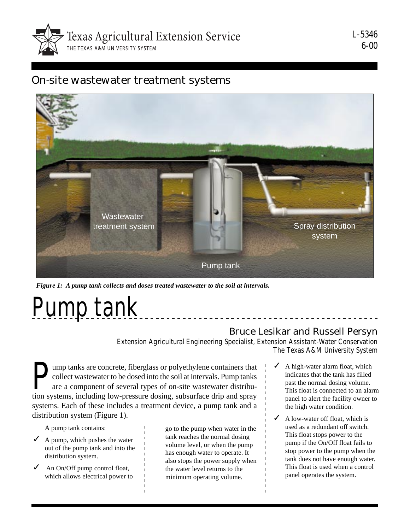

L-5346 6-00

## On-site wastewater treatment systems



*Figure 1: A pump tank collects and doses treated wastewater to the soil at intervals.*

# Pump tank

### Bruce Lesikar and Russell Persyn

Extension Agricultural Engineering Specialist, Extension Assistant-Water Conservation The Texas A&M University System

Imp tanks are concrete, fiberglass or polyethylene containers that collect wastewater to be dosed into the soil at intervals. Pump tanks are a component of several types of on-site wastewater distribu-<br>tion systems, includ collect wastewater to be dosed into the soil at intervals. Pump tanks are a component of several types of on-site wastewater distribution systems, including low-pressure dosing, subsurface drip and spray systems. Each of these includes a treatment device, a pump tank and a distribution system (Figure 1).

A pump tank contains:

- $\angle$  A pump, which pushes the water out of the pump tank and into the distribution system.
- $\angle$  An On/Off pump control float, which allows electrical power to

go to the pump when water in the tank reaches the normal dosing volume level, or when the pump has enough water to operate. It also stops the power supply when the water level returns to the minimum operating volume.

- $\triangleleft$  A high-water alarm float, which indicates that the tank has filled past the normal dosing volume. This float is connected to an alarm panel to alert the facility owner to the high water condition.
- A low-water off float, which is used as a redundant off switch. This float stops power to the pump if the On/Off float fails to stop power to the pump when the tank does not have enough water. This float is used when a control panel operates the system.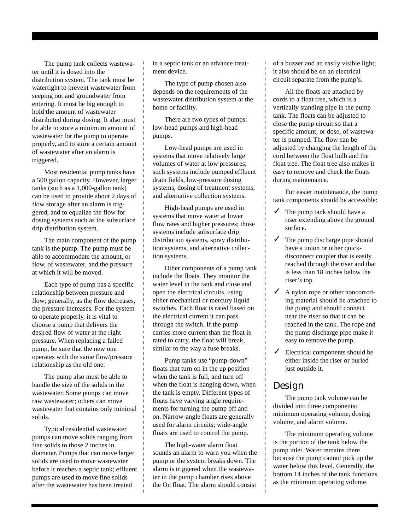The pump tank collects wastewater until it is dosed into the distribution system. The tank must be watertight to prevent wastewater from seeping out and groundwater from entering. It must be big enough to hold the amount of wastewater distributed during dosing. It also must be able to store a minimum amount of wastewater for the pump to operate properly, and to store a certain amount of wastewater after an alarm is triggered.

Most residential pump tanks have a 500 gallon capacity. However, larger tanks (such as a 1,000-gallon tank) can be used to provide about 2 days of flow storage after an alarm is triggered, and to equalize the flow for dosing systems such as the subsurface drip distribution system.

The main component of the pump tank is the pump. The pump must be able to accommodate the amount, or flow, of wastewater, and the pressure at which it will be moved.

Each type of pump has a specific relationship between pressure and flow; generally, as the flow decreases, the pressure increases. For the system to operate properly, it is vital to choose a pump that delivers the desired flow of water at the right pressure. When replacing a failed pump, be sure that the new one operates with the same flow/pressure relationship as the old one.

The pump also must be able to handle the size of the solids in the wastewater. Some pumps can move raw wastewater; others can move wastewater that contains only minimal solids.

Typical residential wastewater pumps can move solids ranging from fine solids to those 2 inches in diameter. Pumps that can move larger solids are used to move wastewater before it reaches a septic tank; effluent pumps are used to move fine solids after the wastewater has been treated

in a septic tank or an advance treatment device.

The type of pump chosen also depends on the requirements of the wastewater distribution system at the home or facility.

There are two types of pumps: low-head pumps and high-head pumps.

Low-head pumps are used in systems that move relatively large volumes of water at low pressures; such systems include pumped effluent drain fields, low-pressure dosing systems, dosing of treatment systems, and alternative collection systems.

High-head pumps are used in systems that move water at lower flow rates and higher pressures; those systems include subsurface drip distribution systems, spray distribution systems, and alternative collection systems.

Other components of a pump tank include the floats. They monitor the water level in the tank and close and open the electrical circuits, using either mechanical or mercury liquid switches. Each float is rated based on the electrical current it can pass through the switch. If the pump carries more current than the float is rated to carry, the float will break, similar to the way a fuse breaks.

Pump tanks use "pump-down" floats that turn on in the up position when the tank is full, and turn off when the float is hanging down, when the tank is empty. Different types of floats have varying angle requirements for turning the pump off and on. Narrow-angle floats are generally used for alarm circuits; wide-angle floats are used to control the pump.

The high-water alarm float sounds an alarm to warn you when the pump or the system breaks down. The alarm is triggered when the wastewater in the pump chamber rises above the On float. The alarm should consist of a buzzer and an easily visible light; it also should be on an electrical circuit separate from the pump's.

All the floats are attached by cords to a float tree, which is a vertically standing pipe in the pump tank. The floats can be adjusted to close the pump circuit so that a specific amount, or dose, of wastewater is pumped. The flow can be adjusted by changing the length of the cord between the float bulb and the float tree. The float tree also makes it easy to remove and check the floats during maintenance.

For easier maintenance, the pump tank components should be accessible:

- $\checkmark$  The pump tank should have a riser extending above the ground surface.
- $\checkmark$  The pump discharge pipe should have a union or other quickdisconnect coupler that is easily reached through the riser and that is less than 18 inches below the riser's top.
- ◆ A nylon rope or other noncorroding material should be attached to the pump and should connect near the riser so that it can be reached in the tank. The rope and the pump discharge pipe make it easy to remove the pump.
- $\angle$  Electrical components should be either inside the riser or buried just outside it.

### Design

The pump tank volume can be divided into three components: minimum operating volume, dosing volume, and alarm volume.

The minimum operating volume is the portion of the tank below the pump inlet. Water remains there because the pump cannot pick up the water below this level. Generally, the bottom 14 inches of the tank functions as the minimum operating volume.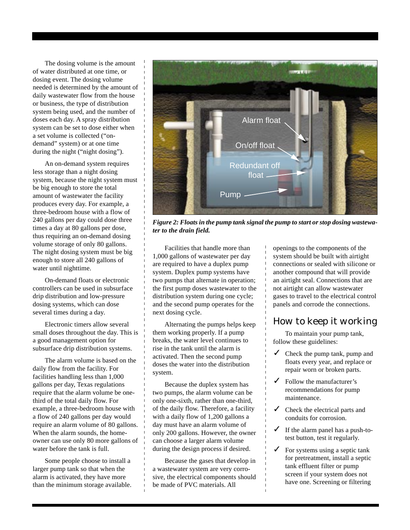The dosing volume is the amount of water distributed at one time, or dosing event. The dosing volume needed is determined by the amount of daily wastewater flow from the house or business, the type of distribution system being used, and the number of doses each day. A spray distribution system can be set to dose either when a set volume is collected ("ondemand" system) or at one time during the night ("night dosing").

An on-demand system requires less storage than a night dosing system, because the night system must be big enough to store the total amount of wastewater the facility produces every day. For example, a three-bedroom house with a flow of 240 gallons per day could dose three times a day at 80 gallons per dose, thus requiring an on-demand dosing volume storage of only 80 gallons. The night dosing system must be big enough to store all 240 gallons of water until nighttime.

On-demand floats or electronic controllers can be used in subsurface drip distribution and low-pressure dosing systems, which can dose several times during a day.

Electronic timers allow several small doses throughout the day. This is a good management option for subsurface drip distribution systems.

The alarm volume is based on the daily flow from the facility. For facilities handling less than 1,000 gallons per day, Texas regulations require that the alarm volume be onethird of the total daily flow. For example, a three-bedroom house with a flow of 240 gallons per day would require an alarm volume of 80 gallons. When the alarm sounds, the homeowner can use only 80 more gallons of water before the tank is full.

Some people choose to install a larger pump tank so that when the alarm is activated, they have more than the minimum storage available.



*Figure 2: Floats in the pump tank signal the pump to start or stop dosing wastewater to the drain field.*

Facilities that handle more than 1,000 gallons of wastewater per day are required to have a duplex pump system. Duplex pump systems have two pumps that alternate in operation; the first pump doses wastewater to the distribution system during one cycle; and the second pump operates for the next dosing cycle.

Alternating the pumps helps keep them working properly. If a pump breaks, the water level continues to rise in the tank until the alarm is activated. Then the second pump doses the water into the distribution system.

Because the duplex system has two pumps, the alarm volume can be only one-sixth, rather than one-third, of the daily flow. Therefore, a facility with a daily flow of 1,200 gallons a day must have an alarm volume of only 200 gallons. However, the owner can choose a larger alarm volume during the design process if desired.

Because the gases that develop in a wastewater system are very corrosive, the electrical components should be made of PVC materials. All

openings to the components of the system should be built with airtight connections or sealed with silicone or another compound that will provide an airtight seal. Connections that are not airtight can allow wastewater gases to travel to the electrical control panels and corrode the connections.

### How to keep it working

To maintain your pump tank, follow these guidelines:

- $\checkmark$  Check the pump tank, pump and floats every year, and replace or repair worn or broken parts.
- $\checkmark$  Follow the manufacturer's recommendations for pump maintenance.
- $\checkmark$  Check the electrical parts and conduits for corrosion.
- $\checkmark$  If the alarm panel has a push-totest button, test it regularly.
- $\checkmark$  For systems using a septic tank for pretreatment, install a septic tank effluent filter or pump screen if your system does not have one. Screening or filtering